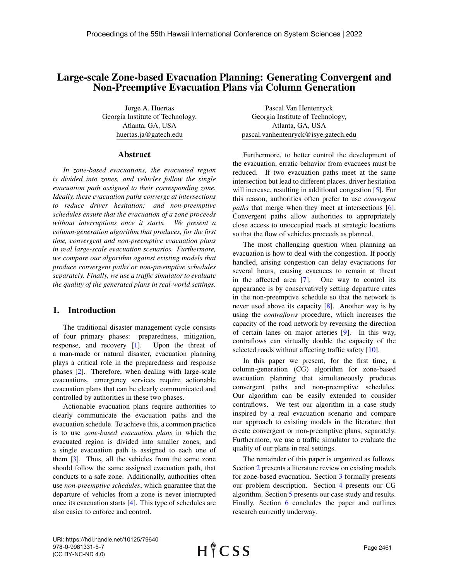# Large-scale Zone-based Evacuation Planning: Generating Convergent and Non-Preemptive Evacuation Plans via Column Generation

Jorge A. Huertas Georgia Institute of Technology, Atlanta, GA, USA huertas.ja@gatech.edu

#### Abstract

*In zone-based evacuations, the evacuated region is divided into zones, and vehicles follow the single evacuation path assigned to their corresponding zone. Ideally, these evacuation paths converge at intersections to reduce driver hesitation; and non-preemptive schedules ensure that the evacuation of a zone proceeds without interruptions once it starts. We present a column-generation algorithm that produces, for the first time, convergent and non-preemptive evacuation plans in real large-scale evacuation scenarios. Furthermore, we compare our algorithm against existing models that produce convergent paths or non-preemptive schedules separately. Finally, we use a traffic simulator to evaluate the quality of the generated plans in real-world settings.*

### 1. Introduction

The traditional disaster management cycle consists of four primary phases: preparedness, mitigation, response, and recovery [\[1\]](#page-9-0). Upon the threat of a man-made or natural disaster, evacuation planning plays a critical role in the preparedness and response phases [\[2\]](#page-9-1). Therefore, when dealing with large-scale evacuations, emergency services require actionable evacuation plans that can be clearly communicated and controlled by authorities in these two phases.

Actionable evacuation plans require authorities to clearly communicate the evacuation paths and the evacuation schedule. To achieve this, a common practice is to use *zone-based evacuation plans* in which the evacuated region is divided into smaller zones, and a single evacuation path is assigned to each one of them [\[3\]](#page-9-2). Thus, all the vehicles from the same zone should follow the same assigned evacuation path, that conducts to a safe zone. Additionally, authorities often use *non-preemptive schedules*, which guarantee that the departure of vehicles from a zone is never interrupted once its evacuation starts [\[4\]](#page-9-3). This type of schedules are also easier to enforce and control.

Pascal Van Hentenryck Georgia Institute of Technology, Atlanta, GA, USA pascal.vanhentenryck@isye.gatech.edu

Furthermore, to better control the development of the evacuation, erratic behavior from evacuees must be reduced. If two evacuation paths meet at the same intersection but lead to different places, driver hesitation will increase, resulting in additional congestion [\[5\]](#page-9-4). For this reason, authorities often prefer to use *convergent paths* that merge when they meet at intersections [\[6\]](#page-9-5). Convergent paths allow authorities to appropriately close access to unoccupied roads at strategic locations so that the flow of vehicles proceeds as planned.

The most challenging question when planning an evacuation is how to deal with the congestion. If poorly handled, arising congestion can delay evacuations for several hours, causing evacuees to remain at threat in the affected area [\[7\]](#page-9-6). One way to control its appearance is by conservatively setting departure rates in the non-preemptive schedule so that the network is never used above its capacity [\[8\]](#page-9-7). Another way is by using the *contraflows* procedure, which increases the capacity of the road network by reversing the direction of certain lanes on major arteries [\[9\]](#page-9-8). In this way, contraflows can virtually double the capacity of the selected roads without affecting traffic safety [\[10\]](#page-9-9).

In this paper we present, for the first time, a column-generation (CG) algorithm for zone-based evacuation planning that simultaneously produces convergent paths and non-preemptive schedules. Our algorithm can be easily extended to consider contraflows. We test our algorithm in a case study inspired by a real evacuation scenario and compare our approach to existing models in the literature that create convergent or non-preemptive plans, separately. Furthermore, we use a traffic simulator to evaluate the quality of our plans in real settings.

The remainder of this paper is organized as follows. Section [2](#page-1-0) presents a literature review on existing models for zone-based evacuation. Section [3](#page-2-0) formally presents our problem description. Section [4](#page-3-0) presents our CG algorithm. Section [5](#page-6-0) presents our case study and results. Finally, Section [6](#page-8-0) concludes the paper and outlines research currently underway.

URI: https://hdl.handle.net/10125/79640 978-0-9981331-5-7 (CC BY-NC-ND 4.0)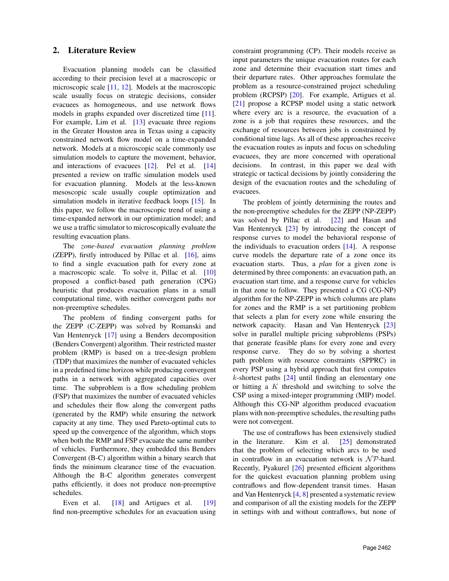### <span id="page-1-0"></span>2. Literature Review

Evacuation planning models can be classified according to their precision level at a macroscopic or microscopic scale [\[11,](#page-9-10) [12\]](#page-9-11). Models at the macroscopic scale usually focus on strategic decisions, consider evacuees as homogeneous, and use network flows models in graphs expanded over discretized time [\[11\]](#page-9-10). For example, Lim et al. [\[13\]](#page-9-12) evacuate three regions in the Greater Houston area in Texas using a capacity constrained network flow model on a time-expanded network. Models at a microscopic scale commonly use simulation models to capture the movement, behavior, and interactions of evacuees [\[12\]](#page-9-11). Pel et al. [\[14\]](#page-9-13) presented a review on traffic simulation models used for evacuation planning. Models at the less-known mesoscopic scale usually couple optimization and simulation models in iterative feedback loops [\[15\]](#page-9-14). In this paper, we follow the macroscopic trend of using a time-expanded network in our optimization model; and we use a traffic simulator to microscopically evaluate the resulting evacuation plans.

The *zone-based evacuation planning problem* (ZEPP), firstly introduced by Pillac et al.  $[16]$ , aims to find a single evacuation path for every zone at a macroscopic scale. To solve it, Pillac et al. [\[10\]](#page-9-9) proposed a conflict-based path generation (CPG) heuristic that produces evacuation plans in a small computational time, with neither convergent paths nor non-preemptive schedules.

The problem of finding convergent paths for the ZEPP (C-ZEPP) was solved by Romanski and Van Hentenryck [\[17\]](#page-9-16) using a Benders decomposition (Benders Convergent) algorithm. Their restricted master problem (RMP) is based on a tree-design problem (TDP) that maximizes the number of evacuated vehicles in a predefined time horizon while producing convergent paths in a network with aggregated capacities over time. The subproblem is a flow scheduling problem (FSP) that maximizes the number of evacuated vehicles and schedules their flow along the convergent paths (generated by the RMP) while ensuring the network capacity at any time. They used Pareto-optimal cuts to speed up the convergence of the algorithm, which stops when both the RMP and FSP evacuate the same number of vehicles. Furthermore, they embedded this Benders Convergent (B-C) algorithm within a binary search that finds the minimum clearance time of the evacuation. Although the B-C algorithm generates convergent paths efficiently, it does not produce non-preemptive schedules.

Even et al. [\[18\]](#page-9-17) and Artigues et al. [\[19\]](#page-9-18) find non-preemptive schedules for an evacuation using

constraint programming (CP). Their models receive as input parameters the unique evacuation routes for each zone and determine their evacuation start times and their departure rates. Other approaches formulate the problem as a resource-constrained project scheduling problem (RCPSP) [\[20\]](#page-9-19). For example, Artigues et al. [\[21\]](#page-9-20) propose a RCPSP model using a static network where every arc is a resource, the evacuation of a zone is a job that requires these resources, and the exchange of resources between jobs is constrained by conditional time lags. As all of these approaches receive the evacuation routes as inputs and focus on scheduling evacuees, they are more concerned with operational decisions. In contrast, in this paper we deal with strategic or tactical decisions by jointly considering the design of the evacuation routes and the scheduling of evacuees.

The problem of jointly determining the routes and the non-preemptive schedules for the ZEPP (NP-ZEPP) was solved by Pillac et al. [\[22\]](#page-9-21) and Hasan and Van Hentenryck [\[23\]](#page-9-22) by introducing the concept of response curves to model the behavioral response of the individuals to evacuation orders [\[14\]](#page-9-13). A response curve models the departure rate of a zone once its evacuation starts. Thus, a *plan* for a given zone is determined by three components: an evacuation path, an evacuation start time, and a response curve for vehicles in that zone to follow. They presented a CG (CG-NP) algorithm for the NP-ZEPP in which columns are plans for zones and the RMP is a set partitioning problem that selects a plan for every zone while ensuring the network capacity. Hasan and Van Hentenryck [\[23\]](#page-9-22) solve in parallel multiple pricing subproblems (PSPs) that generate feasible plans for every zone and every response curve. They do so by solving a shortest path problem with resource constraints (SPPRC) in every PSP using a hybrid approach that first computes  $k$ -shortest paths  $[24]$  until finding an elementary one or hitting a  $K$  threshold and switching to solve the CSP using a mixed-integer programming (MIP) model. Although this CG-NP algorithm produced evacuation plans with non-preemptive schedules, the resulting paths were not convergent.

The use of contraflows has been extensively studied in the literature. Kim et al. [\[25\]](#page-9-24) demonstrated that the problem of selecting which arcs to be used in contraflow in an evacuation network is  $N \mathcal{P}$ -hard. Recently, Pyakurel [\[26\]](#page-9-25) presented efficient algorithms for the quickest evacuation planning problem using contraflows and flow-dependent transit times. Hasan and Van Hentenryck [\[4,](#page-9-3) [8\]](#page-9-7) presented a systematic review and comparison of all the existing models for the ZEPP in settings with and without contraflows, but none of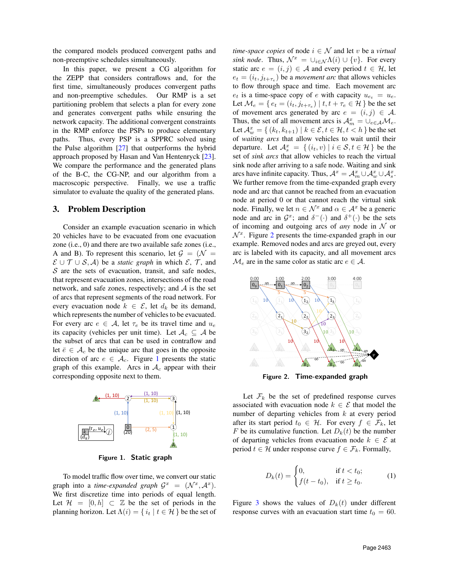the compared models produced convergent paths and non-preemptive schedules simultaneously.

In this paper, we present a CG algorithm for the ZEPP that considers contraflows and, for the first time, simultaneously produces convergent paths and non-preemptive schedules. Our RMP is a set partitioning problem that selects a plan for every zone and generates convergent paths while ensuring the network capacity. The additional convergent constraints in the RMP enforce the PSPs to produce elementary paths. Thus, every PSP is a SPPRC solved using the Pulse algorithm [\[27\]](#page-9-26) that outperforms the hybrid approach proposed by Hasan and Van Hentenryck [\[23\]](#page-9-22). We compare the performance and the generated plans of the B-C, the CG-NP, and our algorithm from a macroscopic perspective. Finally, we use a traffic simulator to evaluate the quality of the generated plans.

### <span id="page-2-0"></span>3. Problem Description

Consider an example evacuation scenario in which 20 vehicles have to be evacuated from one evacuation zone (i.e., 0) and there are two available safe zones (i.e., A and B). To represent this scenario, let  $\mathcal{G} = (\mathcal{N} =$  $\mathcal{E} \cup \mathcal{T} \cup \mathcal{S}, \mathcal{A}$  be a *static graph* in which  $\mathcal{E}, \mathcal{T}$ , and  $S$  are the sets of evacuation, transit, and safe nodes, that represent evacuation zones, intersections of the road network, and safe zones, respectively; and  $A$  is the set of arcs that represent segments of the road network. For every evacuation node  $k \in \mathcal{E}$ , let  $d_k$  be its demand, which represents the number of vehicles to be evacuated. For every arc  $e \in A$ , let  $\tau_e$  be its travel time and  $u_e$ its capacity (vehicles per unit time). Let  $\mathcal{A}_c \subseteq \mathcal{A}$  be the subset of arcs that can be used in contraflow and let  $\bar{e} \in A_c$  be the unique arc that goes in the opposite direction of arc  $e \in \mathcal{A}_c$ . Figure [1](#page-2-1) presents the static graph of this example. Arcs in  $A_c$  appear with their corresponding opposite next to them.



<span id="page-2-1"></span>Figure 1. Static graph

To model traffic flow over time, we convert our static graph into a *time-expanded graph*  $G^x = (\mathcal{N}^x, \mathcal{A}^x)$ . We first discretize time into periods of equal length. Let  $\mathcal{H} = [0, h] \subset \mathbb{Z}$  be the set of periods in the planning horizon. Let  $\Lambda(i) = \{ i_t | t \in \mathcal{H} \}$  be the set of *time-space copies* of node  $i \in \mathcal{N}$  and let v be a *virtual sink node*. Thus,  $\mathcal{N}^x = \bigcup_{i \in \mathcal{N}} \Lambda(i) \cup \{v\}$ . For every static arc  $e = (i, j) \in \mathcal{A}$  and every period  $t \in \mathcal{H}$ , let  $e_t = (i_t, j_{t+\tau_e})$  be a *movement arc* that allows vehicles to flow through space and time. Each movement arc  $e_t$  is a time-space copy of e with capacity  $u_{e_t} = u_e$ . Let  $\mathcal{M}_e = \set{e_t = (i_t, j_{t+\tau_e}) \mid t, t+\tau_e \in \mathcal{H}}$  be the set of movement arcs generated by arc  $e = (i, j) \in \mathcal{A}$ . Thus, the set of all movement arcs is  $A_m^x = \bigcup_{e \in A} \mathcal{M}_e$ . Let  $\mathcal{A}^x_w = \{ (k_t, k_{t+1}) \mid k \in \mathcal{E}, t \in \mathcal{H}, t < h \}$  be the set of *waiting arcs* that allow vehicles to wait until their departure. Let  $\mathcal{A}_{s}^{x} = \{ (i_{t}, v) | i \in \mathcal{S}, t \in \mathcal{H} \}$  be the set of *sink arcs* that allow vehicles to reach the virtual sink node after arriving to a safe node. Waiting and sink arcs have infinite capacity. Thus,  $\mathcal{A}^x = \mathcal{A}^x_m \cup \mathcal{A}^x_w \cup \mathcal{A}^x_s$ . We further remove from the time-expanded graph every node and arc that cannot be reached from an evacuation node at period 0 or that cannot reach the virtual sink node. Finally, we let  $n \in \mathcal{N}^x$  and  $\alpha \in \mathcal{A}^x$  be a generic node and arc in  $\mathcal{G}^x$ ; and  $\delta^-(\cdot)$  and  $\delta^+(\cdot)$  be the sets of incoming and outgoing arcs of *any* node in N or  $\mathcal{N}^x$ . Figure [2](#page-2-2) presents the time-expanded graph in our example. Removed nodes and arcs are greyed out, every arc is labeled with its capacity, and all movement arcs  $\mathcal{M}_e$  are in the same color as static arc  $e \in \mathcal{A}$ .



<span id="page-2-2"></span>Figure 2. Time-expanded graph

Let  $\mathcal{F}_k$  be the set of predefined response curves associated with evacuation node  $k \in \mathcal{E}$  that model the number of departing vehicles from  $k$  at every period after its start period  $t_0 \in \mathcal{H}$ . For every  $f \in \mathcal{F}_k$ , let F be its cumulative function. Let  $D_k(t)$  be the number of departing vehicles from evacuation node  $k \in \mathcal{E}$  at period  $t \in \mathcal{H}$  under response curve  $f \in \mathcal{F}_k$ . Formally,

$$
D_k(t) = \begin{cases} 0, & \text{if } t < t_0; \\ f(t - t_0), & \text{if } t \ge t_0. \end{cases}
$$
 (1)

Figure [3](#page-3-1) shows the values of  $D_k(t)$  under different response curves with an evacuation start time  $t_0 = 60$ .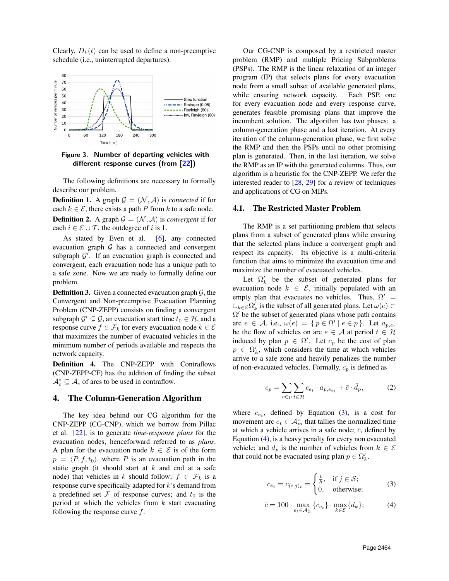Clearly,  $D_k(t)$  can be used to define a non-preemptive schedule (i.e., uninterrupted departures).



<span id="page-3-1"></span>Figure 3. Number of departing vehicles with different response curves (from [\[22\]](#page-9-21))

The following definitions are necessary to formally describe our problem.

<span id="page-3-4"></span>**Definition 1.** A graph  $\mathcal{G} = (\mathcal{N}, \mathcal{A})$  is *connected* if for each  $k \in \mathcal{E}$ , there exists a path P from k to a safe node. **Definition 2.** A graph  $\mathcal{G} = (\mathcal{N}, \mathcal{A})$  is *convergent* if for each  $i \in \mathcal{E} \cup \mathcal{T}$ , the outdegree of i is 1.

As stated by Even et al. [\[6\]](#page-9-5), any connected evacuation graph  $G$  has a connected and convergent subgraph  $\mathcal{G}'$ . If an evacuation graph is connected and convergent, each evacuation node has a unique path to a safe zone. Now we are ready to formally define our problem.

**Definition 3.** Given a connected evacuation graph  $\mathcal{G}$ , the Convergent and Non-preemptive Evacuation Planning Problem (CNP-ZEPP) consists on finding a convergent subgraph  $\mathcal{G}' \subseteq \mathcal{G}$ , an evacuation start time  $t_0 \in \mathcal{H}$ , and a response curve  $f \in \mathcal{F}_k$  for every evacuation node  $k \in \mathcal{E}$ that maximizes the number of evacuated vehicles in the minimum number of periods available and respects the network capacity.

Definition 4. The CNP-ZEPP with Contraflows (CNP-ZEPP-CF) has the addition of finding the subset  $\mathcal{A}_c^* \subseteq \mathcal{A}_c$  of arcs to be used in contraflow.

### <span id="page-3-0"></span>4. The Column-Generation Algorithm

The key idea behind our CG algorithm for the CNP-ZEPP (CG-CNP), which we borrow from Pillac et al. [\[22\]](#page-9-21), is to generate *time-response plans* for the evacuation nodes, henceforward referred to as *plans*. A plan for the evacuation node  $k \in \mathcal{E}$  is of the form  $p = \langle P, f, t_0 \rangle$ , where P is an evacuation path in the static graph (it should start at  $k$  and end at a safe node) that vehicles in k should follow;  $f \in \mathcal{F}_k$  is a response curve specifically adapted for k's demand from a predefined set  $\mathcal F$  of response curves; and  $t_0$  is the period at which the vehicles from  $k$  start evacuating following the response curve  $f$ .

Our CG-CNP is composed by a restricted master problem (RMP) and multiple Pricing Subproblems (PSPs). The RMP is the linear relaxation of an integer program (IP) that selects plans for every evacuation node from a small subset of available generated plans, while ensuring network capacity. Each PSP, one for every evacuation node and every response curve, generates feasible promising plans that improve the incumbent solution. The algorithm has two phases: a column-generation phase and a last iteration. At every iteration of the column-generation phase, we first solve the RMP and then the PSPs until no other promising plan is generated. Then, in the last iteration, we solve the RMP as an IP with the generated columns. Thus, our algorithm is a heuristic for the CNP-ZEPP. We refer the interested reader to  $[28, 29]$  $[28, 29]$  $[28, 29]$  for a review of techniques and applications of CG on MIPs.

#### 4.1. The Restricted Master Problem

The RMP is a set partitioning problem that selects plans from a subset of generated plans while ensuring that the selected plans induce a convergent graph and respect its capacity. Its objective is a multi-criteria function that aims to minimize the evacuation time and maximize the number of evacuated vehicles.

Let  $\Omega'_k$  be the subset of generated plans for evacuation node  $k \in \mathcal{E}$ , initially populated with an empty plan that evacuates no vehicles. Thus,  $\Omega'$  =  $\cup_{k \in \mathcal{E}} \Omega'_k$  is the subset of all generated plans. Let  $\omega(e)$  ⊂  $\Omega'$  be the subset of generated plans whose path contains arc  $e \in A$ , i.e.,  $\omega(e) = \{ p \in \Omega' \mid e \in p \}$ . Let  $a_{p,e_t}$ be the flow of vehicles on arc  $e \in A$  at period  $t \in \mathcal{H}$ induced by plan  $p \in \Omega'$ . Let  $c_p$  be the cost of plan  $p \in \Omega'_k$ , which considers the time at which vehicles arrive to a safe zone and heavily penalizes the number of non-evacuated vehicles. Formally,  $c_p$  is defined as

$$
c_p = \sum_{e \in p} \sum_{t \in \mathcal{H}} c_{e_t} \cdot a_{p, e_{e_t}} + \bar{c} \cdot \bar{d}_p, \tag{2}
$$

where  $c_{e_t}$ , defined by Equation [\(3\)](#page-3-2), is a cost for movement arc  $e_t \in \mathcal{A}_m^x$  that tallies the normalized time at which a vehicle arrives in a safe node;  $\bar{c}$ , defined by Equation [\(4\)](#page-3-3), is a heavy penalty for every non evacuated vehicle; and  $\overline{d}_p$  is the number of vehicles from  $k \in \mathcal{E}$ that could not be evacuated using plan  $p \in \Omega'_k$ .

<span id="page-3-2"></span>
$$
c_{e_t} = c_{(i,j)_t} = \begin{cases} \frac{t}{h}, & \text{if } j \in \mathcal{S};\\ 0, & \text{otherwise}; \end{cases}
$$
 (3)

<span id="page-3-3"></span>
$$
\bar{c} = 100 \cdot \max_{e_t \in \mathcal{A}_m^x} \{c_{e_t}\} \cdot \max_{k \in \mathcal{E}} \{d_k\};\tag{4}
$$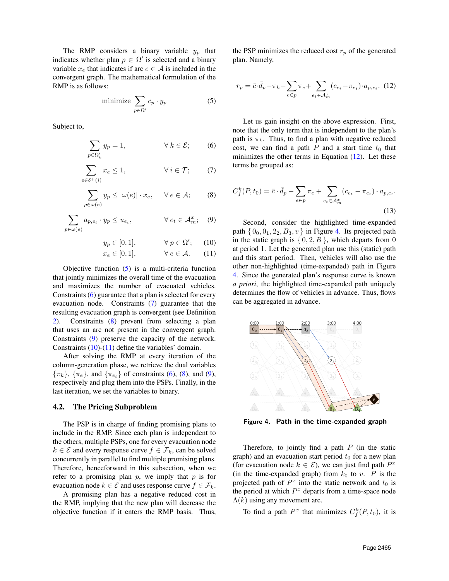The RMP considers a binary variable  $y_p$  that indicates whether plan  $p \in \Omega'$  is selected and a binary variable  $x_e$  that indicates if arc  $e \in A$  is included in the convergent graph. The mathematical formulation of the RMP is as follows:

<span id="page-4-0"></span>
$$
\text{minimize } \sum_{p \in \Omega'} c_p \cdot y_p \tag{5}
$$

Subject to,

$$
\sum_{p \in \Omega'_k} y_p = 1, \qquad \forall \ k \in \mathcal{E}; \qquad (6)
$$

$$
\sum_{e \in \delta^+(i)} x_e \le 1, \qquad \forall \ i \in \mathcal{T}; \qquad (7)
$$

$$
\sum_{p \in \omega(e)} y_p \le |\omega(e)| \cdot x_e, \quad \forall e \in \mathcal{A}; \qquad (8)
$$

$$
\sum_{p \in \omega(e)} a_{p,e_t} \cdot y_p \le u_{e_t}, \qquad \forall e_t \in \mathcal{A}_m^x; \quad (9)
$$

$$
y_p \in [0, 1], \qquad \forall \ p \in \Omega'; \qquad (10)
$$

$$
x_e \in [0, 1], \qquad \forall e \in \mathcal{A}. \qquad (11)
$$

Objective function [\(5\)](#page-4-0) is a multi-criteria function that jointly minimizes the overall time of the evacuation and maximizes the number of evacuated vehicles. Constraints [\(6\)](#page-4-1) guarantee that a plan is selected for every evacuation node. Constraints [\(7\)](#page-4-2) guarantee that the resulting evacuation graph is convergent (see Definition [2\)](#page-3-4). Constraints [\(8\)](#page-4-3) prevent from selecting a plan that uses an arc not present in the convergent graph. Constraints [\(9\)](#page-4-4) preserve the capacity of the network. Constraints  $(10)$ - $(11)$  define the variables' domain.

After solving the RMP at every iteration of the column-generation phase, we retrieve the dual variables  $\{\pi_k\}, \{\pi_e\}, \text{ and } \{\pi_{e_t}\}\text{ of constraints (6), (8), and (9),}$  $\{\pi_k\}, \{\pi_e\}, \text{ and } \{\pi_{e_t}\}\text{ of constraints (6), (8), and (9),}$  $\{\pi_k\}, \{\pi_e\}, \text{ and } \{\pi_{e_t}\}\text{ of constraints (6), (8), and (9),}$  $\{\pi_k\}, \{\pi_e\}, \text{ and } \{\pi_{e_t}\}\text{ of constraints (6), (8), and (9),}$  $\{\pi_k\}, \{\pi_e\}, \text{ and } \{\pi_{e_t}\}\text{ of constraints (6), (8), and (9),}$  $\{\pi_k\}, \{\pi_e\}, \text{ and } \{\pi_{e_t}\}\text{ of constraints (6), (8), and (9),}$  $\{\pi_k\}, \{\pi_e\}, \text{ and } \{\pi_{e_t}\}\text{ of constraints (6), (8), and (9),}$ respectively and plug them into the PSPs. Finally, in the last iteration, we set the variables to binary.

### 4.2. The Pricing Subproblem

The PSP is in charge of finding promising plans to include in the RMP. Since each plan is independent to the others, multiple PSPs, one for every evacuation node  $k \in \mathcal{E}$  and every response curve  $f \in \mathcal{F}_k$ , can be solved concurrently in parallel to find multiple promising plans. Therefore, henceforward in this subsection, when we refer to a promising plan  $p$ , we imply that  $p$  is for evacuation node  $k \in \mathcal{E}$  and uses response curve  $f \in \mathcal{F}_k$ .

A promising plan has a negative reduced cost in the RMP, implying that the new plan will decrease the objective function if it enters the RMP basis. Thus, <span id="page-4-7"></span>the PSP minimizes the reduced cost  $r_p$  of the generated plan. Namely,

$$
r_p = \bar{c} \cdot \bar{d}_p - \pi_k - \sum_{e \in p} \pi_e + \sum_{e_t \in \mathcal{A}_m^x} (c_{e_t} - \pi_{e_t}) \cdot a_{p,e_t}.
$$
 (12)

<span id="page-4-1"></span>Let us gain insight on the above expression. First, note that the only term that is independent to the plan's path is  $\pi_k$ . Thus, to find a plan with negative reduced cost, we can find a path  $P$  and a start time  $t_0$  that minimizes the other terms in Equation  $(12)$ . Let these terms be grouped as:

<span id="page-4-9"></span><span id="page-4-3"></span><span id="page-4-2"></span>
$$
C_f^k(P, t_0) = \bar{c} \cdot \bar{d}_p - \sum_{e \in p} \pi_e + \sum_{e_t \in \mathcal{A}_m^x} (c_{e_t} - \pi_{e_t}) \cdot a_{p, e_t}.
$$
\n(13)

<span id="page-4-6"></span><span id="page-4-5"></span><span id="page-4-4"></span>Second, consider the highlighted time-expanded path  $\{0_0, 0_1, 2_2, B_3, v\}$  in Figure [4.](#page-4-8) Its projected path in the static graph is  $\{0, 2, B\}$ , which departs from 0 at period 1. Let the generated plan use this (static) path and this start period. Then, vehicles will also use the other non-highlighted (time-expanded) path in Figure [4.](#page-4-8) Since the generated plan's response curve is known *a priori*, the highlighted time-expanded path uniquely determines the flow of vehicles in advance. Thus, flows can be aggregated in advance.



<span id="page-4-8"></span>Figure 4. Path in the time-expanded graph

Therefore, to jointly find a path  $P$  (in the static graph) and an evacuation start period  $t_0$  for a new plan (for evacuation node  $k \in \mathcal{E}$ ), we can just find path  $P^x$ (in the time-expanded graph) from  $k_0$  to v. P is the projected path of  $P<sup>x</sup>$  into the static network and  $t_0$  is the period at which  $P<sup>x</sup>$  departs from a time-space node  $\Lambda(k)$  using any movement arc.

To find a path  $P^x$  that minimizes  $C_f^k(P, t_0)$ , it is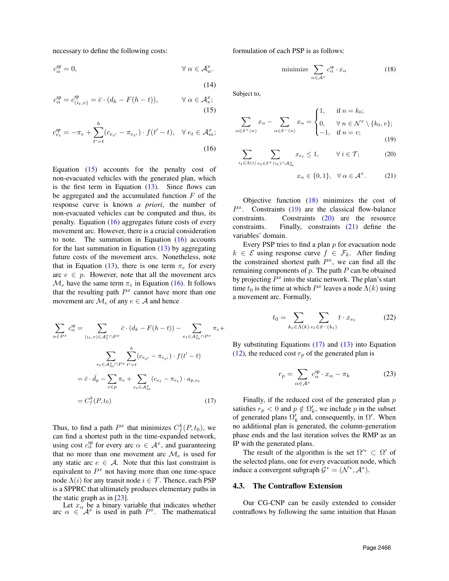necessary to define the following costs:

$$
c_{\alpha}^{\rm sp}=0, \qquad \qquad \forall \; \alpha \in \mathcal{A}_w^x.
$$

$$
(14)
$$

$$
c_{\alpha}^{\rm sp} = c_{(i_t, v)}^{\rm sp} = \bar{c} \cdot (d_k - F(h - t)), \qquad \forall \alpha \in \mathcal{A}_s^x; \tag{15}
$$

$$
c_{e_t}^{\text{sp}} = -\pi_e + \sum_{t'=t}^{h} (c_{e_{t'}} - \pi_{e_{t'}}) \cdot f(t'-t), \quad \forall \, e_t \in \mathcal{A}_m^x; \tag{16}
$$

Equation  $(15)$  accounts for the penalty cost of non-evacuated vehicles with the generated plan, which is the first term in Equation  $(13)$ . Since flows can be aggregated and the accumulated function  $F$  of the response curve is known *a priori*, the number of non-evacuated vehicles can be computed and thus, its penalty. Equation  $(16)$  aggregates future costs of every movement arc. However, there is a crucial consideration to note. The summation in Equation  $(16)$  accounts for the last summation in Equation  $(13)$  by aggregating future costs of the movement arcs. Nonetheless, note that in Equation [\(13\)](#page-4-9), there is one term  $\pi_e$  for every arc  $e \in p$ . However, note that all the movement arcs  $\mathcal{M}_e$  have the same term  $\pi_e$  in Equation [\(16\)](#page-5-1). It follows that the resulting path  $P<sup>x</sup>$  cannot have more than one movement arc  $\mathcal{M}_e$  of any  $e \in \mathcal{A}$  and hence

$$
\sum_{\alpha \in P^x} c_{\alpha}^{\text{sp}} = \sum_{(i_t, v) \in \mathcal{A}_s^x \cap P^x} \bar{c} \cdot (d_k - F(h - t)) - \sum_{e_t \in \mathcal{A}_m^x \cap P^x} \pi_e +
$$
\n
$$
\sum_{e_t \in \mathcal{A}_m^x \cap P^x} \sum_{t'=t}^h (c_{e_{t'}} - \pi_{e_{t'}}) \cdot f(t' - t)
$$
\n
$$
= \bar{c} \cdot \bar{d}_p - \sum_{e \in p} \pi_e + \sum_{e_t \in \mathcal{A}_m^x} (c_{e_t} - \pi_{e_t}) \cdot a_{p,e_t}
$$
\n
$$
= C_f^k(P, t_0) \tag{17}
$$

Thus, to find a path  $P^x$  that minimizes  $C_f^k(P, t_0)$ , we can find a shortest path in the time-expanded network, using cost  $c_{\alpha}^{\text{sp}}$  for every arc  $\alpha \in \mathcal{A}^x$ , and guaranteeing that no more than one movement arc  $\mathcal{M}_e$  is used for any static arc  $e \in A$ . Note that this last constraint is equivalent to  $P<sup>x</sup>$  not having more than one time-space node  $\Lambda(i)$  for any transit node  $i \in \mathcal{T}$ . Thence, each PSP is a SPPRC that ultimately produces elementary paths in the static graph as in [\[23\]](#page-9-22).

Let  $x_{\alpha}$  be a binary variable that indicates whether arc  $\alpha \in \mathcal{A}^x$  is used in path  $P^x$ . The mathematical

formulation of each PSP is as follows:

<span id="page-5-2"></span>
$$
\text{minimize } \sum_{\alpha \in \mathcal{A}^x} c_{\alpha}^{\text{sp}} \cdot x_{\alpha} \tag{18}
$$

<span id="page-5-0"></span>Subject to,

$$
\sum_{\alpha \in \delta^+(n)} x_{\alpha} - \sum_{\alpha \in \delta^-(n)} x_{\alpha} = \begin{cases} 1, & \text{if } n = k_0; \\ 0, & \forall n \in \mathcal{N}^x \setminus \{k_0, v\}; \\ -1, & \text{if } n = v; \end{cases}
$$
(19)

<span id="page-5-1"></span>
$$
\sum_{i_t \in \Lambda(i)} \sum_{e_t \in \delta^+(i_t) \cap \mathcal{A}_m^x} x_{e_t} \le 1, \qquad \forall i \in \mathcal{T};\tag{20}
$$

<span id="page-5-5"></span><span id="page-5-4"></span><span id="page-5-3"></span>
$$
x_{\alpha} \in \{0, 1\}, \quad \forall \alpha \in \mathcal{A}^x. \tag{21}
$$

Objective function [\(18\)](#page-5-2) minimizes the cost of  $P<sup>x</sup>$ . Constraints ([19](#page-5-3)) are the classical flow-balance constraints. Constraints [\(20\)](#page-5-4) are the resource constraints. Finally, constraints [\(21\)](#page-5-5) define the variables' domain.

Every PSP tries to find a plan  $p$  for evacuation node  $k \in \mathcal{E}$  using response curve  $f \in \mathcal{F}_k$ . After finding the constrained shortest path  $P^x$ , we can find all the remaining components of  $p$ . The path  $P$  can be obtained by projecting  $P<sup>x</sup>$  into the static network. The plan's start time  $t_0$  is the time at which  $P^x$  leaves a node  $\Lambda(k)$  using a movement arc. Formally,

$$
t_0 = \sum_{k_t \in \Lambda(k)} \sum_{e_t \in \delta^-(k_t)} t \cdot x_{e_t} \tag{22}
$$

By substituting Equations  $(17)$  and  $(13)$  into Equation [\(12\)](#page-4-7), the reduced cost  $r_p$  of the generated plan is

$$
r_p = \sum_{\alpha \in \mathcal{A}^x} c_\alpha^{\text{sp}} \cdot x_\alpha - \pi_k \tag{23}
$$

<span id="page-5-6"></span>Finally, if the reduced cost of the generated plan  $p$ satisfies  $r_p < 0$  and  $p \notin \Omega'_k$ , we include p in the subset of generated plans  $\Omega'_k$  and, consequently, in  $\Omega'$ . When no additional plan is generated, the column-generation phase ends and the last iteration solves the RMP as an IP with the generated plans.

The result of the algorithm is the set  $\Omega^{\prime\ast} \subset \Omega'$  of the selected plans, one for every evacuation node, which induce a convergent subgraph  $G^* = (\mathcal{N}^*, \mathcal{A}^*)$ .

#### 4.3. The Contraflow Extension

Our CG-CNP can be easily extended to consider contraflows by following the same intuition that Hasan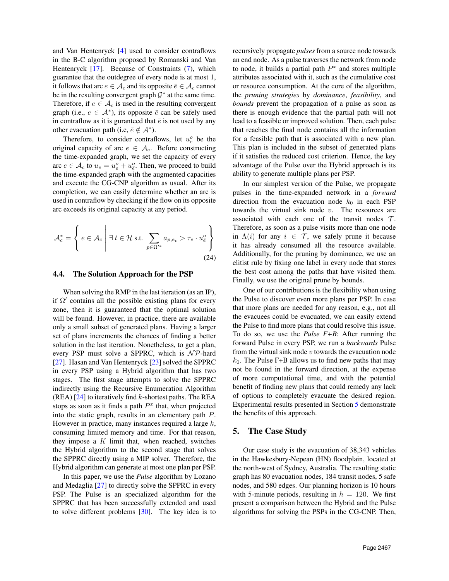and Van Hentenryck [\[4\]](#page-9-3) used to consider contraflows in the B-C algorithm proposed by Romanski and Van Hentenryck [\[17\]](#page-9-16). Because of Constraints [\(7\)](#page-4-2), which guarantee that the outdegree of every node is at most 1, it follows that arc  $e \in A_c$  and its opposite  $\bar{e} \in A_c$  cannot be in the resulting convergent graph  $\mathcal{G}^*$  at the same time. Therefore, if  $e \in \mathcal{A}_c$  is used in the resulting convergent graph (i.e.,  $e \in \mathcal{A}^*$ ), its opposite  $\overline{e}$  can be safely used in contraflow as it is guranteed that  $\bar{e}$  is not used by any other evacuation path (i.e,  $\bar{e} \notin A^*$ ).

Therefore, to consider contraflows, let  $u_e^o$  be the original capacity of arc  $e \in \mathcal{A}_c$ . Before constructing the time-expanded graph, we set the capacity of every arc  $e \in A_c$  to  $u_e = u_e^o + u_{\overline{e}}^o$ . Then, we proceed to build the time-expanded graph with the augmented capacities and execute the CG-CNP algorithm as usual. After its completion, we can easily determine whether an arc is used in contraflow by checking if the flow on its opposite arc exceeds its original capacity at any period.

$$
\mathcal{A}_{c}^{*} = \left\{ e \in \mathcal{A}_{c} \middle| \exists t \in \mathcal{H} \text{ s.t. } \sum_{p \in \Omega'^{*}} a_{p,\bar{e}_{t}} > \tau_{\bar{e}} \cdot u_{\bar{e}}^{o} \right\}
$$
\n(24)

#### 4.4. The Solution Approach for the PSP

When solving the RMP in the last iteration (as an IP), if  $\Omega'$  contains all the possible existing plans for every zone, then it is guaranteed that the optimal solution will be found. However, in practice, there are available only a small subset of generated plans. Having a larger set of plans increments the chances of finding a better solution in the last iteration. Nonetheless, to get a plan, every PSP must solve a SPPRC, which is  $N \mathcal{P}$ -hard [\[27\]](#page-9-26). Hasan and Van Hentenryck [\[23\]](#page-9-22) solved the SPPRC in every PSP using a Hybrid algorithm that has two stages. The first stage attempts to solve the SPPRC indirectly using the Recursive Enumeration Algorithm (REA)  $[24]$  to iteratively find k-shortest paths. The REA stops as soon as it finds a path  $P<sup>x</sup>$  that, when projected into the static graph, results in an elementary path P. However in practice, many instances required a large  $k$ , consuming limited memory and time. For that reason, they impose a  $K$  limit that, when reached, switches the Hybrid algorithm to the second stage that solves the SPPRC directly using a MIP solver. Therefore, the Hybrid algorithm can generate at most one plan per PSP.

In this paper, we use the *Pulse* algorithm by Lozano and Medaglia [\[27\]](#page-9-26) to directly solve the SPPRC in every PSP. The Pulse is an specialized algorithm for the SPPRC that has been successfully extended and used to solve different problems [\[30\]](#page-9-29). The key idea is to recursively propagate *pulses* from a source node towards an end node. As a pulse traverses the network from node to node, it builds a partial path  $P<sup>x</sup>$  and stores multiple attributes associated with it, such as the cumulative cost or resource consumption. At the core of the algorithm, the *pruning strategies* by *dominance*, *feasibility*, and *bounds* prevent the propagation of a pulse as soon as there is enough evidence that the partial path will not lead to a feasible or improved solution. Then, each pulse that reaches the final node contains all the information for a feasible path that is associated with a new plan. This plan is included in the subset of generated plans if it satisfies the reduced cost criterion. Hence, the key advantage of the Pulse over the Hybrid approach is its ability to generate multiple plans per PSP.

In our simplest version of the Pulse, we propagate pulses in the time-expanded network in a *forward* direction from the evacuation node  $k_0$  in each PSP towards the virtual sink node  $v$ . The resources are associated with each one of the transit nodes  $\mathcal{T}$ . Therefore, as soon as a pulse visits more than one node in  $\Lambda(i)$  for any  $i \in \mathcal{T}$ , we safely prune it because it has already consumed all the resource available. Additionally, for the pruning by dominance, we use an elitist rule by fixing one label in every node that stores the best cost among the paths that have visited them. Finally, we use the original prune by bounds.

One of our contributions is the flexibility when using the Pulse to discover even more plans per PSP. In case that more plans are needed for any reason, e.g., not all the evacuees could be evacuated, we can easily extend the Pulse to find more plans that could resolve this issue. To do so, we use the *Pulse F+B*: After running the forward Pulse in every PSP, we run a *backwards* Pulse from the virtual sink node  $v$  towards the evacuation node  $k_0$ . The Pulse F+B allows us to find new paths that may not be found in the forward direction, at the expense of more computational time, and with the potential benefit of finding new plans that could remedy any lack of options to completely evacuate the desired region. Experimental results presented in Section [5](#page-6-0) demonstrate the benefits of this approach.

### <span id="page-6-0"></span>5. The Case Study

Our case study is the evacuation of 38,343 vehicles in the Hawkesbury-Nepean (HN) floodplain, located at the north-west of Sydney, Australia. The resulting static graph has 80 evacuation nodes, 184 transit nodes, 5 safe nodes, and 580 edges. Our planning horizon is 10 hours with 5-minute periods, resulting in  $h = 120$ . We first present a comparison between the Hybrid and the Pulse algorithms for solving the PSPs in the CG-CNP. Then,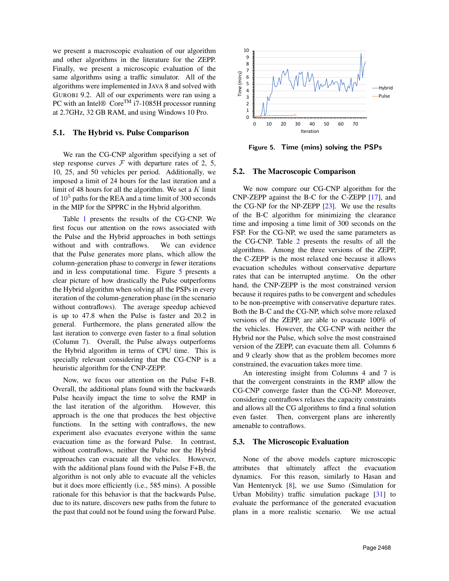we present a macroscopic evaluation of our algorithm and other algorithms in the literature for the ZEPP. Finally, we present a microscopic evaluation of the same algorithms using a traffic simulator. All of the algorithms were implemented in JAVA 8 and solved with GUROBI 9.2. All of our experiments were ran using a PC with an Intel® Core<sup>TM</sup> i7-1085H processor running at 2.7GHz, 32 GB RAM, and using Windows 10 Pro.

### 5.1. The Hybrid vs. Pulse Comparison

We ran the CG-CNP algorithm specifying a set of step response curves  $F$  with departure rates of 2, 5, 10, 25, and 50 vehicles per period. Additionally, we imposed a limit of 24 hours for the last iteration and a limit of 48 hours for all the algorithm. We set a  $K$  limit of  $10<sup>5</sup>$  paths for the REA and a time limit of 300 seconds in the MIP for the SPPRC in the Hybrid algorithm.

Table [1](#page-8-1) presents the results of the CG-CNP. We first focus our attention on the rows associated with the Pulse and the Hybrid approaches in both settings without and with contraflows. We can evidence that the Pulse generates more plans, which allow the column-generation phase to converge in fewer iterations and in less computational time. Figure [5](#page-7-0) presents a clear picture of how drastically the Pulse outperforms the Hybrid algorithm when solving all the PSPs in every iteration of the column-generation phase (in the scenario without contraflows). The average speedup achieved is up to 47.8 when the Pulse is faster and 20.2 in general. Furthermore, the plans generated allow the last iteration to converge even faster to a final solution (Column 7). Overall, the Pulse always outperforms the Hybrid algorithm in terms of CPU time. This is specially relevant considering that the CG-CNP is a heuristic algorithm for the CNP-ZEPP.

Now, we focus our attention on the Pulse F+B. Overall, the additional plans found with the backwards Pulse heavily impact the time to solve the RMP in the last iteration of the algorithm. However, this approach is the one that produces the best objective functions. In the setting with contraflows, the new experiment also evacuates everyone within the same evacuation time as the forward Pulse. In contrast, without contraflows, neither the Pulse nor the Hybrid approaches can evacuate all the vehicles. However, with the additional plans found with the Pulse F+B, the algorithm is not only able to evacuate all the vehicles but it does more efficiently (i.e., 585 mins). A possible rationale for this behavior is that the backwards Pulse, due to its nature, discovers new paths from the future to the past that could not be found using the forward Pulse.



<span id="page-7-0"></span>Figure 5. Time (mins) solving the PSPs

### 5.2. The Macroscopic Comparison

We now compare our CG-CNP algorithm for the CNP-ZEPP against the B-C for the C-ZEPP [\[17\]](#page-9-16), and the CG-NP for the NP-ZEPP  $[23]$ . We use the results of the B-C algorithm for minimizing the clearance time and imposing a time limit of 300 seconds on the FSP. For the CG-NP, we used the same parameters as the CG-CNP. Table [2](#page-8-2) presents the results of all the algorithms. Among the three versions of the ZEPP, the C-ZEPP is the most relaxed one because it allows evacuation schedules without conservative departure rates that can be interrupted anytime. On the other hand, the CNP-ZEPP is the most constrained version because it requires paths to be convergent and schedules to be non-preemptive with conservative departure rates. Both the B-C and the CG-NP, which solve more relaxed versions of the ZEPP, are able to evacuate 100% of the vehicles. However, the CG-CNP with neither the Hybrid nor the Pulse, which solve the most constrained version of the ZEPP, can evacuate them all. Columns 6 and 9 clearly show that as the problem becomes more constrained, the evacuation takes more time.

An interesting insight from Columns 4 and 7 is that the convergent constraints in the RMP allow the CG-CNP converge faster than the CG-NP. Moreover, considering contraflows relaxes the capacity constraints and allows all the CG algorithms to find a final solution even faster. Then, convergent plans are inherently amenable to contraflows.

### 5.3. The Microscopic Evaluation

None of the above models capture microscopic attributes that ultimately affect the evacuation dynamics. For this reason, similarly to Hasan and Van Hentenryck [\[8\]](#page-9-7), we use Sumo (Simulation for Urban Mobility) traffic simulation package [\[31\]](#page-9-30) to evaluate the performance of the generated evacuation plans in a more realistic scenario. We use actual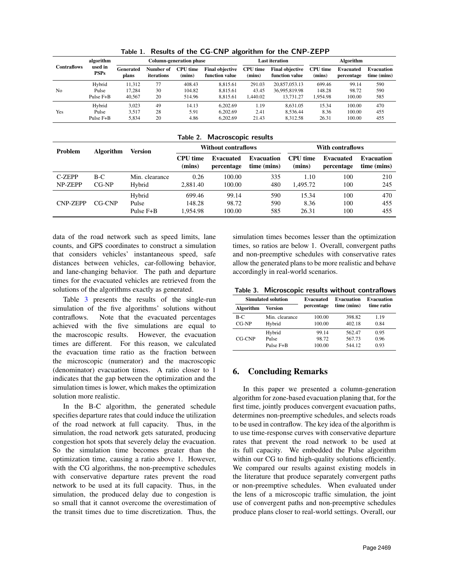| $\ldots$           |                                     |                         |                         |                           |                                          |                           |                                          |                           |                         |                                  |
|--------------------|-------------------------------------|-------------------------|-------------------------|---------------------------|------------------------------------------|---------------------------|------------------------------------------|---------------------------|-------------------------|----------------------------------|
| <b>Contraflows</b> | algorithm<br>used in<br><b>PSPs</b> | Column-generation phase |                         |                           |                                          | <b>Last iteration</b>     |                                          | Algorithm                 |                         |                                  |
|                    |                                     | Generated<br>plans      | Number of<br>iterations | <b>CPU</b> time<br>(mins) | <b>Final objective</b><br>function value | <b>CPU</b> time<br>(mins) | <b>Final objective</b><br>function value | <b>CPU</b> time<br>(mins) | Evacuated<br>percentage | <b>Evacuation</b><br>time (mins) |
| N <sub>0</sub>     | Hybrid                              | 11.312                  | 77                      | 408.43                    | 8.815.61                                 | 291.03                    | 20,857,053.13                            | 699.46                    | 99.14                   | 590                              |
|                    | Pulse                               | 17.284                  | 30                      | 104.82                    | 8.815.61                                 | 43.45                     | 36,995,819.98                            | 148.28                    | 98.72                   | 590                              |
|                    | Pulse F+B                           | 40.567                  | 20                      | 514.96                    | 8.815.61                                 | .440.02                   | 13.731.27                                | 1.954.98                  | 100.00                  | 585                              |
| Yes                | Hybrid                              | 3.023                   | 49                      | 14.13                     | 6.202.69                                 | 1.19                      | 8.631.05                                 | 15.34                     | 100.00                  | 470                              |
|                    | Pulse                               | 3.517                   | 28                      | 5.91                      | 6.202.69                                 | 2.41                      | 8.536.44                                 | 8.36                      | 100.00                  | 455                              |
|                    | Pulse F+B                           | 5.834                   | 20                      | 4.86                      | 6.202.69                                 | 21.43                     | 8.312.58                                 | 26.31                     | 100.00                  | 455                              |

<span id="page-8-1"></span>Table 1. Results of the CG-CNP algorithm for the CNP-ZEPP

<span id="page-8-2"></span>

|  | Table 2. Macroscopic results |  |
|--|------------------------------|--|
|--|------------------------------|--|

| <b>Problem</b>    | <b>Algorithm</b> | Version                          |                              | <b>Without contraflows</b> |                                  | With contraflows          |                                |                                  |  |
|-------------------|------------------|----------------------------------|------------------------------|----------------------------|----------------------------------|---------------------------|--------------------------------|----------------------------------|--|
|                   |                  |                                  | CPU time<br>(mins)           | Evacuated<br>percentage    | <b>Evacuation</b><br>time (mins) | <b>CPU</b> time<br>(mins) | <b>Evacuated</b><br>percentage | <b>Evacuation</b><br>time (mins) |  |
| C-ZEPP<br>NP-ZEPP | $B-C$<br>$CG-NP$ | Min. clearance<br>Hybrid         | 0.26<br>2.881.40             | 100.00<br>100.00           | 335<br>480                       | 1.10<br>1.495.72          | 100<br>100                     | 210<br>245                       |  |
| <b>CNP-ZEPP</b>   | CG-CNP           | Hybrid<br>Pulse<br>Pulse $F + B$ | 699.46<br>148.28<br>1.954.98 | 99.14<br>98.72<br>100.00   | 590<br>590<br>585                | 15.34<br>8.36<br>26.31    | 100<br>100<br>100              | 470<br>455<br>455                |  |

data of the road network such as speed limits, lane counts, and GPS coordinates to construct a simulation that considers vehicles' instantaneous speed, safe distances between vehicles, car-following behavior, and lane-changing behavior. The path and departure times for the evacuated vehicles are retrieved from the solutions of the algorithms exactly as generated.

Table [3](#page-8-3) presents the results of the single-run simulation of the five algorithms' solutions without contraflows. Note that the evacuated percentages achieved with the five simulations are equal to the macroscopic results. However, the evacuation times are different. For this reason, we calculated the evacuation time ratio as the fraction between the microscopic (numerator) and the macroscopic (denominator) evacuation times. A ratio closer to 1 indicates that the gap between the optimization and the simulation times is lower, which makes the optimization solution more realistic.

In the B-C algorithm, the generated schedule specifies departure rates that could induce the utilization of the road network at full capacity. Thus, in the simulation, the road network gets saturated, producing congestion hot spots that severely delay the evacuation. So the simulation time becomes greater than the optimization time, causing a ratio above 1. However, with the CG algorithms, the non-preemptive schedules with conservative departure rates prevent the road network to be used at its full capacity. Thus, in the simulation, the produced delay due to congestion is so small that it cannot overcome the overestimation of the transit times due to time discretization. Thus, the simulation times becomes lesser than the optimization times, so ratios are below 1. Overall, convergent paths and non-preemptive schedules with conservative rates allow the generated plans to be more realistic and behave accordingly in real-world scenarios.

<span id="page-8-3"></span>Table 3. Microscopic results without contraflows

|           | Simulated solution | Evacuated  | <b>Evacuation</b> | <b>Evacuation</b><br>time ratio |  |
|-----------|--------------------|------------|-------------------|---------------------------------|--|
| Algorithm | <b>Version</b>     | percentage | time (mins)       |                                 |  |
| B-C       | Min. clearance     | 100.00     | 398.82            | 1.19                            |  |
| $CG-NP$   | Hybrid             | 100.00     | 402.18            | 0.84                            |  |
| CG-CNP    | Hybrid             | 99.14      | 562.47            | 0.95                            |  |
|           | Pulse              | 98.72      | 567.73            | 0.96                            |  |
|           | $Pulse$ $F+R$      | 100.00     | 544 12            | 0.93                            |  |

## <span id="page-8-0"></span>6. Concluding Remarks

In this paper we presented a column-generation algorithm for zone-based evacuation planing that, for the first time, jointly produces convergent evacuation paths, determines non-preemptive schedules, and selects roads to be used in contraflow. The key idea of the algorithm is to use time-response curves with conservative departure rates that prevent the road network to be used at its full capacity. We embedded the Pulse algorithm within our CG to find high-quality solutions efficiently. We compared our results against existing models in the literature that produce separately convergent paths or non-preemptive schedules. When evaluated under the lens of a microscopic traffic simulation, the joint use of convergent paths and non-preemptive schedules produce plans closer to real-world settings. Overall, our